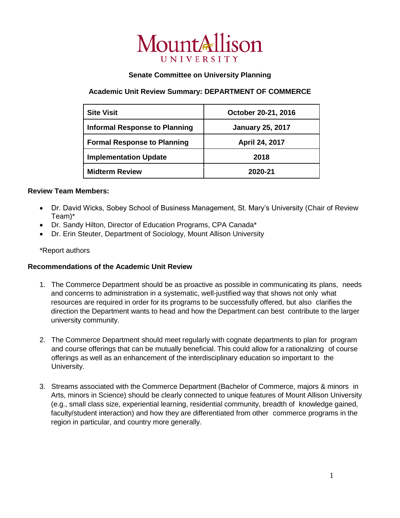

## **Senate Committee on University Planning**

# **Academic Unit Review Summary: DEPARTMENT OF COMMERCE**

| <b>Site Visit</b>                    | October 20-21, 2016     |
|--------------------------------------|-------------------------|
| <b>Informal Response to Planning</b> | <b>January 25, 2017</b> |
| <b>Formal Response to Planning</b>   | April 24, 2017          |
| <b>Implementation Update</b>         | 2018                    |
| <b>Midterm Review</b>                | 2020-21                 |

## **Review Team Members:**

- Dr. David Wicks, Sobey School of Business Management, St. Mary's University (Chair of Review Team)\*
- Dr. Sandy Hilton, Director of Education Programs, CPA Canada\*
- Dr. Erin Steuter, Department of Sociology, Mount Allison University

### \*Report authors

### **Recommendations of the Academic Unit Review**

- 1. The Commerce Department should be as proactive as possible in communicating its plans, needs and concerns to administration in a systematic, well-justified way that shows not only what resources are required in order for its programs to be successfully offered, but also clarifies the direction the Department wants to head and how the Department can best contribute to the larger university community.
- 2. The Commerce Department should meet regularly with cognate departments to plan for program and course offerings that can be mutually beneficial. This could allow for a rationalizing of course offerings as well as an enhancement of the interdisciplinary education so important to the University.
- 3. Streams associated with the Commerce Department (Bachelor of Commerce, majors & minors in Arts, minors in Science) should be clearly connected to unique features of Mount Allison University (e.g., small class size, experiential learning, residential community, breadth of knowledge gained, faculty/student interaction) and how they are differentiated from other commerce programs in the region in particular, and country more generally.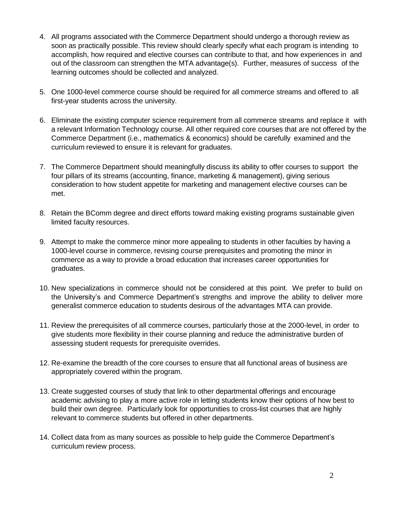- 4. All programs associated with the Commerce Department should undergo a thorough review as soon as practically possible. This review should clearly specify what each program is intending to accomplish, how required and elective courses can contribute to that, and how experiences in and out of the classroom can strengthen the MTA advantage(s). Further, measures of success of the learning outcomes should be collected and analyzed.
- 5. One 1000-level commerce course should be required for all commerce streams and offered to all first-year students across the university.
- 6. Eliminate the existing computer science requirement from all commerce streams and replace it with a relevant Information Technology course. All other required core courses that are not offered by the Commerce Department (i.e., mathematics & economics) should be carefully examined and the curriculum reviewed to ensure it is relevant for graduates.
- 7. The Commerce Department should meaningfully discuss its ability to offer courses to support the four pillars of its streams (accounting, finance, marketing & management), giving serious consideration to how student appetite for marketing and management elective courses can be met.
- 8. Retain the BComm degree and direct efforts toward making existing programs sustainable given limited faculty resources.
- 9. Attempt to make the commerce minor more appealing to students in other faculties by having a 1000-level course in commerce, revising course prerequisites and promoting the minor in commerce as a way to provide a broad education that increases career opportunities for graduates.
- 10. New specializations in commerce should not be considered at this point. We prefer to build on the University's and Commerce Department's strengths and improve the ability to deliver more generalist commerce education to students desirous of the advantages MTA can provide.
- 11. Review the prerequisites of all commerce courses, particularly those at the 2000-level, in order to give students more flexibility in their course planning and reduce the administrative burden of assessing student requests for prerequisite overrides.
- 12. Re-examine the breadth of the core courses to ensure that all functional areas of business are appropriately covered within the program.
- 13. Create suggested courses of study that link to other departmental offerings and encourage academic advising to play a more active role in letting students know their options of how best to build their own degree. Particularly look for opportunities to cross-list courses that are highly relevant to commerce students but offered in other departments.
- 14. Collect data from as many sources as possible to help guide the Commerce Department's curriculum review process.